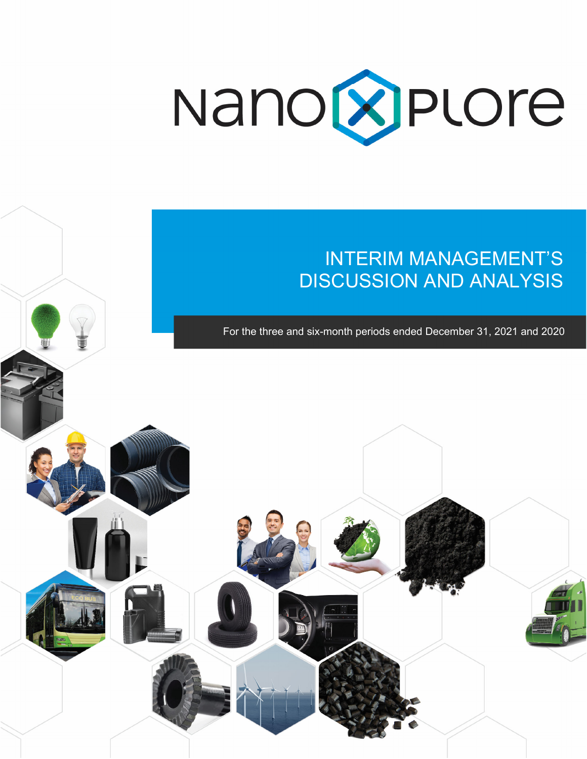

# INTERIM MANAGEMENT'S DISCUSSION AND ANALYSIS

For the three and six-month periods ended December 31, 2021 and 2020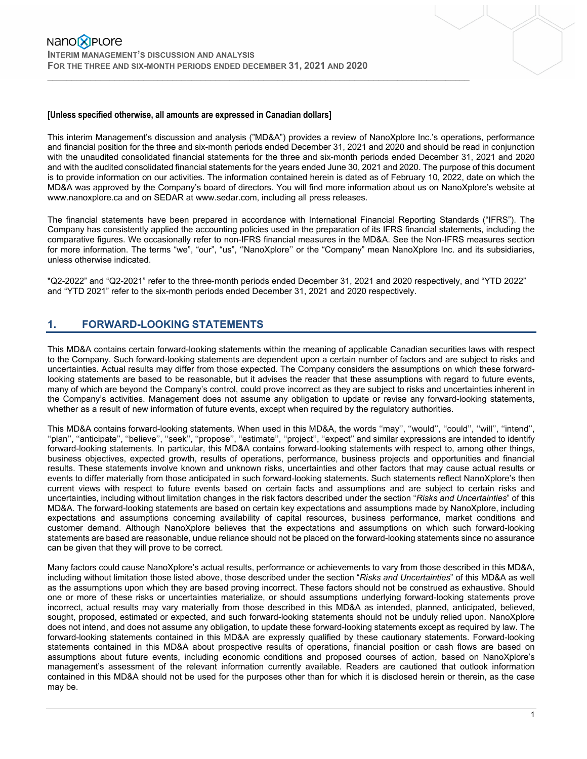### **[Unless specified otherwise, all amounts are expressed in Canadian dollars]**

This interim Management's discussion and analysis ("MD&A") provides a review of NanoXplore Inc.'s operations, performance and financial position for the three and six-month periods ended December 31, 2021 and 2020 and should be read in conjunction with the unaudited consolidated financial statements for the three and six-month periods ended December 31, 2021 and 2020 and with the audited consolidated financial statements for the years ended June 30, 2021 and 2020. The purpose of this document is to provide information on our activities. The information contained herein is dated as of February 10, 2022, date on which the MD&A was approved by the Company's board of directors. You will find more information about us on NanoXplore's website at www.nanoxplore.ca and on SEDAR at www.sedar.com, including all press releases.

 $\mathcal{L}_\mathcal{L} = \{ \mathcal{L}_\mathcal{L} = \{ \mathcal{L}_\mathcal{L} = \{ \mathcal{L}_\mathcal{L} = \{ \mathcal{L}_\mathcal{L} = \{ \mathcal{L}_\mathcal{L} = \{ \mathcal{L}_\mathcal{L} = \{ \mathcal{L}_\mathcal{L} = \{ \mathcal{L}_\mathcal{L} = \{ \mathcal{L}_\mathcal{L} = \{ \mathcal{L}_\mathcal{L} = \{ \mathcal{L}_\mathcal{L} = \{ \mathcal{L}_\mathcal{L} = \{ \mathcal{L}_\mathcal{L} = \{ \mathcal{L}_\mathcal{$ 

The financial statements have been prepared in accordance with International Financial Reporting Standards ("IFRS"). The Company has consistently applied the accounting policies used in the preparation of its IFRS financial statements, including the comparative figures. We occasionally refer to non-IFRS financial measures in the MD&A. See the Non-IFRS measures section for more information. The terms "we", "our", "us", ''NanoXplore'' or the "Company" mean NanoXplore Inc. and its subsidiaries, unless otherwise indicated.

"Q2-2022" and "Q2-2021" refer to the three-month periods ended December 31, 2021 and 2020 respectively, and "YTD 2022" and "YTD 2021" refer to the six-month periods ended December 31, 2021 and 2020 respectively.

# **1. FORWARD-LOOKING STATEMENTS**

This MD&A contains certain forward-looking statements within the meaning of applicable Canadian securities laws with respect to the Company. Such forward-looking statements are dependent upon a certain number of factors and are subject to risks and uncertainties. Actual results may differ from those expected. The Company considers the assumptions on which these forwardlooking statements are based to be reasonable, but it advises the reader that these assumptions with regard to future events, many of which are beyond the Company's control, could prove incorrect as they are subject to risks and uncertainties inherent in the Company's activities. Management does not assume any obligation to update or revise any forward-looking statements, whether as a result of new information of future events, except when required by the regulatory authorities.

This MD&A contains forward-looking statements. When used in this MD&A, the words ''may'', ''would'', ''could'', ''will'', ''intend'', ''plan'', ''anticipate'', ''believe'', ''seek'', ''propose'', ''estimate'', ''project'', ''expect'' and similar expressions are intended to identify forward-looking statements. In particular, this MD&A contains forward-looking statements with respect to, among other things, business objectives, expected growth, results of operations, performance, business projects and opportunities and financial results. These statements involve known and unknown risks, uncertainties and other factors that may cause actual results or events to differ materially from those anticipated in such forward-looking statements. Such statements reflect NanoXplore's then current views with respect to future events based on certain facts and assumptions and are subject to certain risks and uncertainties, including without limitation changes in the risk factors described under the section "*Risks and Uncertainties*" of this MD&A. The forward-looking statements are based on certain key expectations and assumptions made by NanoXplore, including expectations and assumptions concerning availability of capital resources, business performance, market conditions and customer demand. Although NanoXplore believes that the expectations and assumptions on which such forward-looking statements are based are reasonable, undue reliance should not be placed on the forward-looking statements since no assurance can be given that they will prove to be correct.

Many factors could cause NanoXplore's actual results, performance or achievements to vary from those described in this MD&A, including without limitation those listed above, those described under the section "*Risks and Uncertainties*" of this MD&A as well as the assumptions upon which they are based proving incorrect. These factors should not be construed as exhaustive. Should one or more of these risks or uncertainties materialize, or should assumptions underlying forward-looking statements prove incorrect, actual results may vary materially from those described in this MD&A as intended, planned, anticipated, believed, sought, proposed, estimated or expected, and such forward-looking statements should not be unduly relied upon. NanoXplore does not intend, and does not assume any obligation, to update these forward-looking statements except as required by law. The forward-looking statements contained in this MD&A are expressly qualified by these cautionary statements. Forward-looking statements contained in this MD&A about prospective results of operations, financial position or cash flows are based on assumptions about future events, including economic conditions and proposed courses of action, based on NanoXplore's management's assessment of the relevant information currently available. Readers are cautioned that outlook information contained in this MD&A should not be used for the purposes other than for which it is disclosed herein or therein, as the case may be.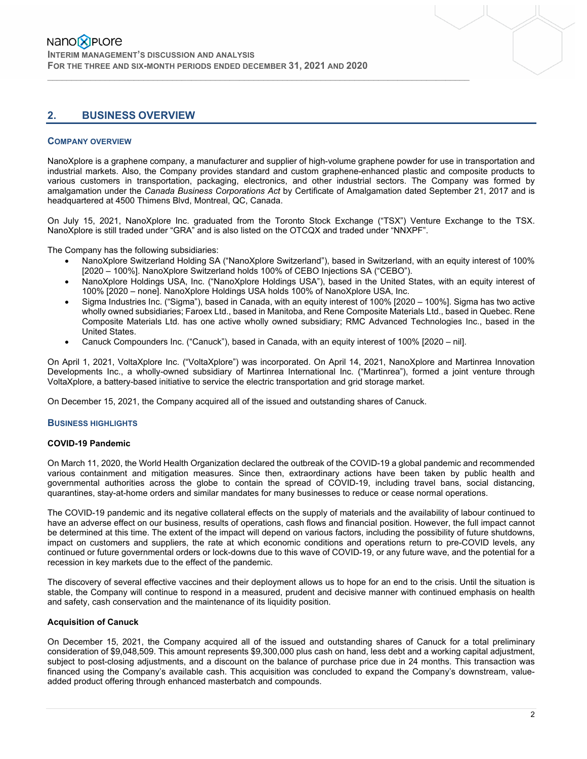# **2. BUSINESS OVERVIEW**

### **COMPANY OVERVIEW**

NanoXplore is a graphene company, a manufacturer and supplier of high-volume graphene powder for use in transportation and industrial markets. Also, the Company provides standard and custom graphene-enhanced plastic and composite products to various customers in transportation, packaging, electronics, and other industrial sectors. The Company was formed by amalgamation under the *Canada Business Corporations Act* by Certificate of Amalgamation dated September 21, 2017 and is headquartered at 4500 Thimens Blvd, Montreal, QC, Canada.

 $\mathcal{L}_\mathcal{L} = \{ \mathcal{L}_\mathcal{L} = \{ \mathcal{L}_\mathcal{L} = \{ \mathcal{L}_\mathcal{L} = \{ \mathcal{L}_\mathcal{L} = \{ \mathcal{L}_\mathcal{L} = \{ \mathcal{L}_\mathcal{L} = \{ \mathcal{L}_\mathcal{L} = \{ \mathcal{L}_\mathcal{L} = \{ \mathcal{L}_\mathcal{L} = \{ \mathcal{L}_\mathcal{L} = \{ \mathcal{L}_\mathcal{L} = \{ \mathcal{L}_\mathcal{L} = \{ \mathcal{L}_\mathcal{L} = \{ \mathcal{L}_\mathcal{$ 

On July 15, 2021, NanoXplore Inc. graduated from the Toronto Stock Exchange ("TSX") Venture Exchange to the TSX. NanoXplore is still traded under "GRA" and is also listed on the OTCQX and traded under "NNXPF".

The Company has the following subsidiaries:

- NanoXplore Switzerland Holding SA ("NanoXplore Switzerland"), based in Switzerland, with an equity interest of 100% [2020 – 100%]. NanoXplore Switzerland holds 100% of CEBO Injections SA ("CEBO").
- NanoXplore Holdings USA, Inc. ("NanoXplore Holdings USA"), based in the United States, with an equity interest of 100% [2020 – none]. NanoXplore Holdings USA holds 100% of NanoXplore USA, Inc.
- Sigma Industries Inc. ("Sigma"), based in Canada, with an equity interest of 100% [2020 100%]. Sigma has two active wholly owned subsidiaries; Faroex Ltd., based in Manitoba, and Rene Composite Materials Ltd., based in Quebec. Rene Composite Materials Ltd. has one active wholly owned subsidiary; RMC Advanced Technologies Inc., based in the United States.
- Canuck Compounders Inc. ("Canuck"), based in Canada, with an equity interest of 100% [2020 nil].

On April 1, 2021, VoltaXplore Inc. ("VoltaXplore") was incorporated. On April 14, 2021, NanoXplore and Martinrea Innovation Developments Inc., a wholly-owned subsidiary of Martinrea International Inc. ("Martinrea"), formed a joint venture through VoltaXplore, a battery-based initiative to service the electric transportation and grid storage market.

On December 15, 2021, the Company acquired all of the issued and outstanding shares of Canuck.

### **BUSINESS HIGHLIGHTS**

### **COVID-19 Pandemic**

On March 11, 2020, the World Health Organization declared the outbreak of the COVID-19 a global pandemic and recommended various containment and mitigation measures. Since then, extraordinary actions have been taken by public health and governmental authorities across the globe to contain the spread of COVID-19, including travel bans, social distancing, quarantines, stay-at-home orders and similar mandates for many businesses to reduce or cease normal operations.

The COVID-19 pandemic and its negative collateral effects on the supply of materials and the availability of labour continued to have an adverse effect on our business, results of operations, cash flows and financial position. However, the full impact cannot be determined at this time. The extent of the impact will depend on various factors, including the possibility of future shutdowns, impact on customers and suppliers, the rate at which economic conditions and operations return to pre-COVID levels, any continued or future governmental orders or lock-downs due to this wave of COVID-19, or any future wave, and the potential for a recession in key markets due to the effect of the pandemic.

The discovery of several effective vaccines and their deployment allows us to hope for an end to the crisis. Until the situation is stable, the Company will continue to respond in a measured, prudent and decisive manner with continued emphasis on health and safety, cash conservation and the maintenance of its liquidity position.

### **Acquisition of Canuck**

On December 15, 2021, the Company acquired all of the issued and outstanding shares of Canuck for a total preliminary consideration of \$9,048,509. This amount represents \$9,300,000 plus cash on hand, less debt and a working capital adjustment, subject to post-closing adjustments, and a discount on the balance of purchase price due in 24 months. This transaction was financed using the Company's available cash. This acquisition was concluded to expand the Company's downstream, valueadded product offering through enhanced masterbatch and compounds.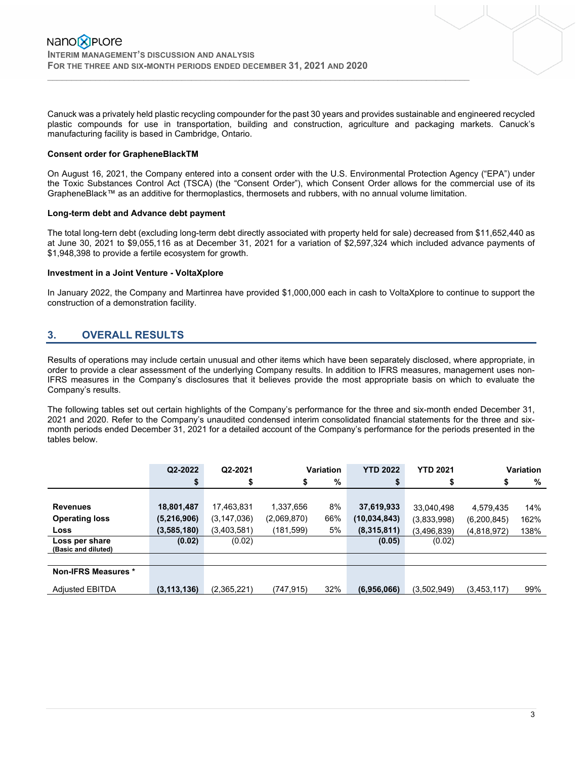Canuck was a privately held plastic recycling compounder for the past 30 years and provides sustainable and engineered recycled plastic compounds for use in transportation, building and construction, agriculture and packaging markets. Canuck's manufacturing facility is based in Cambridge, Ontario.

 $\mathcal{L}_\mathcal{L} = \{ \mathcal{L}_\mathcal{L} = \{ \mathcal{L}_\mathcal{L} = \{ \mathcal{L}_\mathcal{L} = \{ \mathcal{L}_\mathcal{L} = \{ \mathcal{L}_\mathcal{L} = \{ \mathcal{L}_\mathcal{L} = \{ \mathcal{L}_\mathcal{L} = \{ \mathcal{L}_\mathcal{L} = \{ \mathcal{L}_\mathcal{L} = \{ \mathcal{L}_\mathcal{L} = \{ \mathcal{L}_\mathcal{L} = \{ \mathcal{L}_\mathcal{L} = \{ \mathcal{L}_\mathcal{L} = \{ \mathcal{L}_\mathcal{$ 

### **Consent order for GrapheneBlackTM**

On August 16, 2021, the Company entered into a consent order with the U.S. Environmental Protection Agency ("EPA") under the Toxic Substances Control Act (TSCA) (the "Consent Order"), which Consent Order allows for the commercial use of its GrapheneBlack™ as an additive for thermoplastics, thermosets and rubbers, with no annual volume limitation.

### **Long-term debt and Advance debt payment**

The total long-tern debt (excluding long-term debt directly associated with property held for sale) decreased from \$11,652,440 as at June 30, 2021 to \$9,055,116 as at December 31, 2021 for a variation of \$2,597,324 which included advance payments of \$1,948,398 to provide a fertile ecosystem for growth.

### **Investment in a Joint Venture - VoltaXplore**

In January 2022, the Company and Martinrea have provided \$1,000,000 each in cash to VoltaXplore to continue to support the construction of a demonstration facility.

# **3. OVERALL RESULTS**

Results of operations may include certain unusual and other items which have been separately disclosed, where appropriate, in order to provide a clear assessment of the underlying Company results. In addition to IFRS measures, management uses non-IFRS measures in the Company's disclosures that it believes provide the most appropriate basis on which to evaluate the Company's results.

The following tables set out certain highlights of the Company's performance for the three and six-month ended December 31, 2021 and 2020. Refer to the Company's unaudited condensed interim consolidated financial statements for the three and sixmonth periods ended December 31, 2021 for a detailed account of the Company's performance for the periods presented in the tables below.

|                                       | Q2-2022       | Q2-2021       | Variation   |     | <b>YTD 2022</b><br><b>YTD 2021</b> |             | Variation   |      |
|---------------------------------------|---------------|---------------|-------------|-----|------------------------------------|-------------|-------------|------|
|                                       | \$            | \$            | \$          | %   | \$                                 | \$          | \$          | %    |
|                                       |               |               |             |     |                                    |             |             |      |
| <b>Revenues</b>                       | 18,801,487    | 17,463,831    | 1,337,656   | 8%  | 37,619,933                         | 33,040,498  | 4,579,435   | 14%  |
| <b>Operating loss</b>                 | (5,216,906)   | (3, 147, 036) | (2,069,870) | 66% | (10, 034, 843)                     | (3,833,998) | (6,200,845) | 162% |
| Loss                                  | (3,585,180)   | (3,403,581)   | (181, 599)  | 5%  | (8,315,811)                        | (3,496,839) | (4,818,972) | 138% |
| Loss per share<br>(Basic and diluted) | (0.02)        | (0.02)        |             |     | (0.05)                             | (0.02)      |             |      |
|                                       |               |               |             |     |                                    |             |             |      |
| Non-IFRS Measures *                   |               |               |             |     |                                    |             |             |      |
| <b>Adjusted EBITDA</b>                | (3, 113, 136) | (2,365,221)   | (747,915)   | 32% | (6,956,066)                        | (3,502,949) | (3,453,117) | 99%  |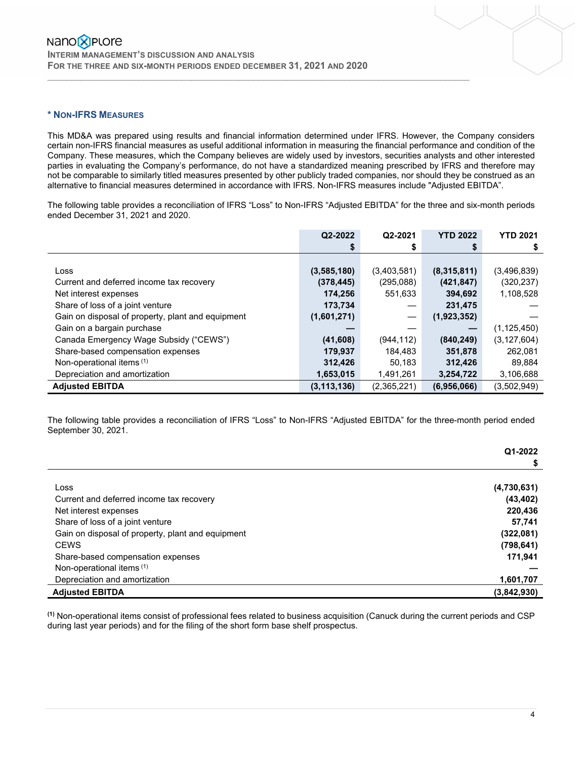### **\* NON-IFRS MEASURES**

This MD&A was prepared using results and financial information determined under IFRS. However, the Company considers certain non-IFRS financial measures as useful additional information in measuring the financial performance and condition of the Company. These measures, which the Company believes are widely used by investors, securities analysts and other interested parties in evaluating the Company's performance, do not have a standardized meaning prescribed by IFRS and therefore may not be comparable to similarly titled measures presented by other publicly traded companies, nor should they be construed as an alternative to financial measures determined in accordance with IFRS. Non-IFRS measures include "Adjusted EBITDA".

 $\mathcal{L}_\mathcal{L} = \{ \mathcal{L}_\mathcal{L} = \{ \mathcal{L}_\mathcal{L} = \{ \mathcal{L}_\mathcal{L} = \{ \mathcal{L}_\mathcal{L} = \{ \mathcal{L}_\mathcal{L} = \{ \mathcal{L}_\mathcal{L} = \{ \mathcal{L}_\mathcal{L} = \{ \mathcal{L}_\mathcal{L} = \{ \mathcal{L}_\mathcal{L} = \{ \mathcal{L}_\mathcal{L} = \{ \mathcal{L}_\mathcal{L} = \{ \mathcal{L}_\mathcal{L} = \{ \mathcal{L}_\mathcal{L} = \{ \mathcal{L}_\mathcal{$ 

The following table provides a reconciliation of IFRS "Loss" to Non-IFRS "Adjusted EBITDA" for the three and six-month periods ended December 31, 2021 and 2020.

|                                                   | Q2-2022       | Q2-2021     | <b>YTD 2022</b> | <b>YTD 2021</b> |
|---------------------------------------------------|---------------|-------------|-----------------|-----------------|
|                                                   | S             |             |                 | \$              |
|                                                   |               |             |                 |                 |
| Loss                                              | (3,585,180)   | (3,403,581) | (8,315,811)     | (3,496,839)     |
| Current and deferred income tax recovery          | (378, 445)    | (295,088)   | (421, 847)      | (320, 237)      |
| Net interest expenses                             | 174,256       | 551,633     | 394,692         | 1,108,528       |
| Share of loss of a joint venture                  | 173,734       |             | 231,475         |                 |
| Gain on disposal of property, plant and equipment | (1,601,271)   |             | (1,923,352)     |                 |
| Gain on a bargain purchase                        |               |             |                 | (1, 125, 450)   |
| Canada Emergency Wage Subsidy ("CEWS")            | (41,608)      | (944, 112)  | (840, 249)      | (3, 127, 604)   |
| Share-based compensation expenses                 | 179,937       | 184,483     | 351,878         | 262,081         |
| Non-operational items <sup>(1)</sup>              | 312,426       | 50,183      | 312,426         | 89,884          |
| Depreciation and amortization                     | 1,653,015     | 1,491,261   | 3,254,722       | 3,106,688       |
| <b>Adjusted EBITDA</b>                            | (3, 113, 136) | (2,365,221) | (6,956,066)     | (3,502,949)     |

The following table provides a reconciliation of IFRS "Loss" to Non-IFRS "Adjusted EBITDA" for the three-month period ended September 30, 2021.

|                                                   | Q1-2022     |
|---------------------------------------------------|-------------|
|                                                   |             |
|                                                   |             |
| Loss                                              | (4,730,631) |
| Current and deferred income tax recovery          | (43, 402)   |
| Net interest expenses                             | 220,436     |
| Share of loss of a joint venture                  | 57,741      |
| Gain on disposal of property, plant and equipment | (322,081)   |
| <b>CEWS</b>                                       | (798, 641)  |
| Share-based compensation expenses                 | 171,941     |
| Non-operational items (1)                         |             |
| Depreciation and amortization                     | 1,601,707   |
| <b>Adjusted EBITDA</b>                            | (3,842,930) |

**(1)** Non-operational items consist of professional fees related to business acquisition (Canuck during the current periods and CSP during last year periods) and for the filing of the short form base shelf prospectus.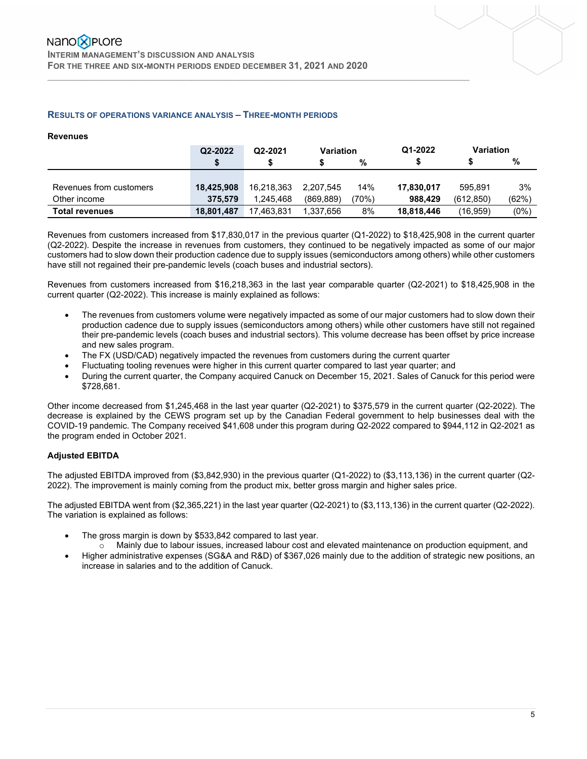### **RESULTS OF OPERATIONS VARIANCE ANALYSIS – THREE-MONTH PERIODS**

### **Revenues**

|                         | Q2-2022    | Q2-2021    | <b>Variation</b> |      | Q1-2022    | <b>Variation</b> |         |
|-------------------------|------------|------------|------------------|------|------------|------------------|---------|
|                         |            |            |                  | %    |            |                  | %       |
|                         |            |            |                  |      |            |                  |         |
| Revenues from customers | 18.425.908 | 16.218.363 | 2.207.545        | 14%  | 17,830,017 | 595.891          | 3%      |
| Other income            | 375.579    | 1.245.468  | (869.889)        | 70%) | 988.429    | (612.850)        | (62%)   |
| <b>Total revenues</b>   | 18.801.487 | 17.463.831 | 1.337.656        | 8%   | 18,818,446 | (16.959)         | $(0\%)$ |

 $\mathcal{L}_\mathcal{L} = \{ \mathcal{L}_\mathcal{L} = \{ \mathcal{L}_\mathcal{L} = \{ \mathcal{L}_\mathcal{L} = \{ \mathcal{L}_\mathcal{L} = \{ \mathcal{L}_\mathcal{L} = \{ \mathcal{L}_\mathcal{L} = \{ \mathcal{L}_\mathcal{L} = \{ \mathcal{L}_\mathcal{L} = \{ \mathcal{L}_\mathcal{L} = \{ \mathcal{L}_\mathcal{L} = \{ \mathcal{L}_\mathcal{L} = \{ \mathcal{L}_\mathcal{L} = \{ \mathcal{L}_\mathcal{L} = \{ \mathcal{L}_\mathcal{$ 

Revenues from customers increased from \$17,830,017 in the previous quarter (Q1-2022) to \$18,425,908 in the current quarter (Q2-2022). Despite the increase in revenues from customers, they continued to be negatively impacted as some of our major customers had to slow down their production cadence due to supply issues (semiconductors among others) while other customers have still not regained their pre-pandemic levels (coach buses and industrial sectors).

Revenues from customers increased from \$16,218,363 in the last year comparable quarter (Q2-2021) to \$18,425,908 in the current quarter (Q2-2022). This increase is mainly explained as follows:

- The revenues from customers volume were negatively impacted as some of our major customers had to slow down their production cadence due to supply issues (semiconductors among others) while other customers have still not regained their pre-pandemic levels (coach buses and industrial sectors). This volume decrease has been offset by price increase and new sales program.
- The FX (USD/CAD) negatively impacted the revenues from customers during the current quarter
- Fluctuating tooling revenues were higher in this current quarter compared to last year quarter; and
- During the current quarter, the Company acquired Canuck on December 15, 2021. Sales of Canuck for this period were \$728,681.

Other income decreased from \$1,245,468 in the last year quarter (Q2-2021) to \$375,579 in the current quarter (Q2-2022). The decrease is explained by the CEWS program set up by the Canadian Federal government to help businesses deal with the COVID-19 pandemic. The Company received \$41,608 under this program during Q2-2022 compared to \$944,112 in Q2-2021 as the program ended in October 2021.

### **Adjusted EBITDA**

The adjusted EBITDA improved from (\$3,842,930) in the previous quarter (Q1-2022) to (\$3,113,136) in the current quarter (Q2- 2022). The improvement is mainly coming from the product mix, better gross margin and higher sales price.

The adjusted EBITDA went from (\$2,365,221) in the last year quarter (Q2-2021) to (\$3,113,136) in the current quarter (Q2-2022). The variation is explained as follows:

- The gross margin is down by \$533,842 compared to last year.
	- o Mainly due to labour issues, increased labour cost and elevated maintenance on production equipment, and
- Higher administrative expenses (SG&A and R&D) of \$367,026 mainly due to the addition of strategic new positions, an increase in salaries and to the addition of Canuck.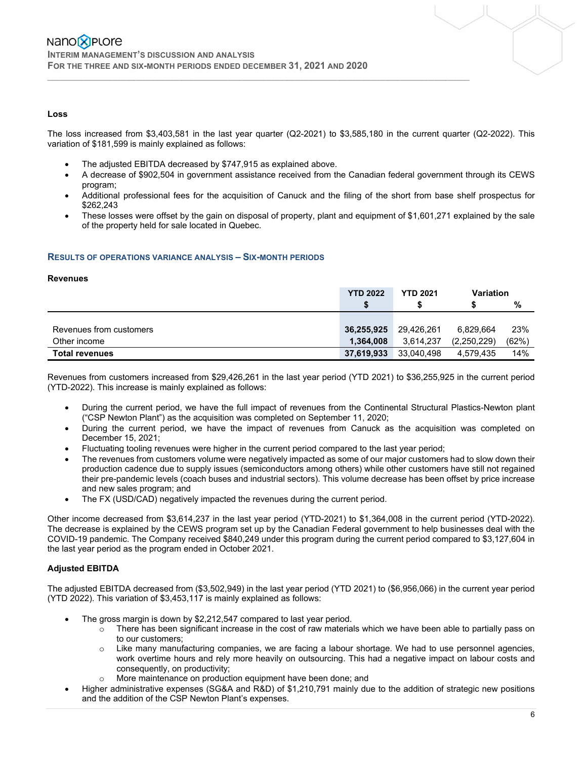### **Loss**

The loss increased from \$3,403,581 in the last year quarter (Q2-2021) to \$3,585,180 in the current quarter (Q2-2022). This variation of \$181,599 is mainly explained as follows:

 $\mathcal{L}_\mathcal{L} = \{ \mathcal{L}_\mathcal{L} = \{ \mathcal{L}_\mathcal{L} = \{ \mathcal{L}_\mathcal{L} = \{ \mathcal{L}_\mathcal{L} = \{ \mathcal{L}_\mathcal{L} = \{ \mathcal{L}_\mathcal{L} = \{ \mathcal{L}_\mathcal{L} = \{ \mathcal{L}_\mathcal{L} = \{ \mathcal{L}_\mathcal{L} = \{ \mathcal{L}_\mathcal{L} = \{ \mathcal{L}_\mathcal{L} = \{ \mathcal{L}_\mathcal{L} = \{ \mathcal{L}_\mathcal{L} = \{ \mathcal{L}_\mathcal{$ 

- The adjusted EBITDA decreased by \$747,915 as explained above.
- A decrease of \$902,504 in government assistance received from the Canadian federal government through its CEWS program;
- Additional professional fees for the acquisition of Canuck and the filing of the short from base shelf prospectus for \$262,243
- These losses were offset by the gain on disposal of property, plant and equipment of \$1,601,271 explained by the sale of the property held for sale located in Quebec.

### **RESULTS OF OPERATIONS VARIANCE ANALYSIS – SIX-MONTH PERIODS**

#### **Revenues**

|                         | <b>YTD 2022</b> | <b>YTD 2021</b> | <b>Variation</b> |       |
|-------------------------|-----------------|-----------------|------------------|-------|
|                         | \$              |                 |                  | %     |
|                         |                 |                 |                  |       |
| Revenues from customers | 36,255,925      | 29,426,261      | 6.829.664        | 23%   |
| Other income            | 1,364,008       | 3.614.237       | (2,250,229)      | (62%) |
| <b>Total revenues</b>   | 37,619,933      | 33,040,498      | 4,579,435        | 14%   |

Revenues from customers increased from \$29,426,261 in the last year period (YTD 2021) to \$36,255,925 in the current period (YTD-2022). This increase is mainly explained as follows:

- During the current period, we have the full impact of revenues from the Continental Structural Plastics-Newton plant ("CSP Newton Plant") as the acquisition was completed on September 11, 2020;
- During the current period, we have the impact of revenues from Canuck as the acquisition was completed on December 15, 2021;
- Fluctuating tooling revenues were higher in the current period compared to the last year period;
- The revenues from customers volume were negatively impacted as some of our major customers had to slow down their production cadence due to supply issues (semiconductors among others) while other customers have still not regained their pre-pandemic levels (coach buses and industrial sectors). This volume decrease has been offset by price increase and new sales program; and
- The FX (USD/CAD) negatively impacted the revenues during the current period.

Other income decreased from \$3,614,237 in the last year period (YTD-2021) to \$1,364,008 in the current period (YTD-2022). The decrease is explained by the CEWS program set up by the Canadian Federal government to help businesses deal with the COVID-19 pandemic. The Company received \$840,249 under this program during the current period compared to \$3,127,604 in the last year period as the program ended in October 2021.

### **Adjusted EBITDA**

The adjusted EBITDA decreased from (\$3,502,949) in the last year period (YTD 2021) to (\$6,956,066) in the current year period (YTD 2022). This variation of \$3,453,117 is mainly explained as follows:

- The gross margin is down by \$2,212,547 compared to last year period.
	- $\circ$  There has been significant increase in the cost of raw materials which we have been able to partially pass on to our customers;
	- o Like many manufacturing companies, we are facing a labour shortage. We had to use personnel agencies, work overtime hours and rely more heavily on outsourcing. This had a negative impact on labour costs and consequently, on productivity;
	- o More maintenance on production equipment have been done; and
- Higher administrative expenses (SG&A and R&D) of \$1,210,791 mainly due to the addition of strategic new positions and the addition of the CSP Newton Plant's expenses.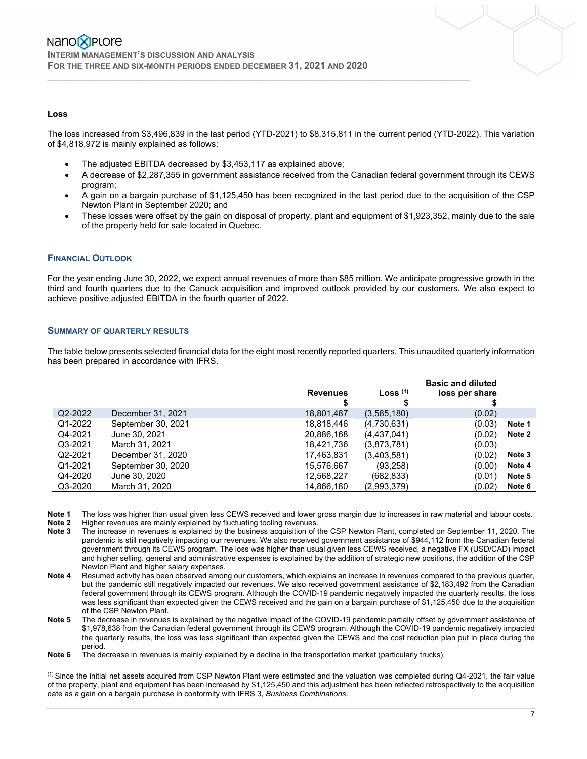### **Loss**

The loss increased from \$3,496,839 in the last period (YTD-2021) to \$8,315,811 in the current period (YTD-2022). This variation of \$4,818,972 is mainly explained as follows:

 $\mathcal{L}_\mathcal{L} = \{ \mathcal{L}_\mathcal{L} = \{ \mathcal{L}_\mathcal{L} = \{ \mathcal{L}_\mathcal{L} = \{ \mathcal{L}_\mathcal{L} = \{ \mathcal{L}_\mathcal{L} = \{ \mathcal{L}_\mathcal{L} = \{ \mathcal{L}_\mathcal{L} = \{ \mathcal{L}_\mathcal{L} = \{ \mathcal{L}_\mathcal{L} = \{ \mathcal{L}_\mathcal{L} = \{ \mathcal{L}_\mathcal{L} = \{ \mathcal{L}_\mathcal{L} = \{ \mathcal{L}_\mathcal{L} = \{ \mathcal{L}_\mathcal{$ 

- The adjusted EBITDA decreased by \$3,453,117 as explained above;
- A decrease of \$2,287,355 in government assistance received from the Canadian federal government through its CEWS program;
- A gain on a bargain purchase of \$1,125,450 has been recognized in the last period due to the acquisition of the CSP Newton Plant in September 2020; and
- These losses were offset by the gain on disposal of property, plant and equipment of \$1,923,352, mainly due to the sale of the property held for sale located in Quebec.

### **FINANCIAL OUTLOOK**

For the year ending June 30, 2022, we expect annual revenues of more than \$85 million. We anticipate progressive growth in the third and fourth quarters due to the Canuck acquisition and improved outlook provided by our customers. We also expect to achieve positive adjusted EBITDA in the fourth quarter of 2022.

### **SUMMARY OF QUARTERLY RESULTS**

The table below presents selected financial data for the eight most recently reported quarters. This unaudited quarterly information has been prepared in accordance with IFRS.

|         |                    | <b>Revenues</b> | Loss $(1)$  | <b>Basic and diluted</b><br>loss per share |        |
|---------|--------------------|-----------------|-------------|--------------------------------------------|--------|
| Q2-2022 | December 31, 2021  | 18,801,487      | (3,585,180) | (0.02)                                     |        |
| Q1-2022 | September 30, 2021 | 18,818,446      | (4,730,631) | (0.03)                                     | Note 1 |
| Q4-2021 | June 30, 2021      | 20,886,168      | (4,437,041) | (0.02)                                     | Note 2 |
| Q3-2021 | March 31, 2021     | 18,421,736      | (3,873,781) | (0.03)                                     |        |
| Q2-2021 | December 31, 2020  | 17,463,831      | (3,403,581) | (0.02)                                     | Note 3 |
| Q1-2021 | September 30, 2020 | 15,576,667      | (93, 258)   | (0.00)                                     | Note 4 |
| Q4-2020 | June 30, 2020      | 12,568,227      | (682, 833)  | (0.01)                                     | Note 5 |
| Q3-2020 | March 31, 2020     | 14,866,180      | (2,993,379) | (0.02)                                     | Note 6 |

**Note 1** The loss was higher than usual given less CEWS received and lower gross margin due to increases in raw material and labour costs.<br>**Note 2** Higher revenues are mainly explained by fluctuating tooling revenues.

**Note 2** Higher revenues are mainly explained by fluctuating tooling revenues.<br>Note 3 The increase in revenues is explained by the business acquisition of t

- **Note 3** The increase in revenues is explained by the business acquisition of the CSP Newton Plant, completed on September 11, 2020. The pandemic is still negatively impacting our revenues. We also received government assistance of \$944,112 from the Canadian federal government through its CEWS program. The loss was higher than usual given less CEWS received, a negative FX (USD/CAD) impact and higher selling, general and administrative expenses is explained by the addition of strategic new positions, the addition of the CSP Newton Plant and higher salary expenses.
- **Note 4** Resumed activity has been observed among our customers, which explains an increase in revenues compared to the previous quarter, but the pandemic still negatively impacted our revenues. We also received government assistance of \$2,183,492 from the Canadian federal government through its CEWS program. Although the COVID-19 pandemic negatively impacted the quarterly results, the loss was less significant than expected given the CEWS received and the gain on a bargain purchase of \$1,125,450 due to the acquisition of the CSP Newton Plant.
- **Note 5** The decrease in revenues is explained by the negative impact of the COVID-19 pandemic partially offset by government assistance of \$1,978,638 from the Canadian federal government through its CEWS program. Although the COVID-19 pandemic negatively impacted the quarterly results, the loss was less significant than expected given the CEWS and the cost reduction plan put in place during the period.

**Note 6** The decrease in revenues is mainly explained by a decline in the transportation market (particularly trucks).

(1) Since the initial net assets acquired from CSP Newton Plant were estimated and the valuation was completed during Q4-2021, the fair value of the property, plant and equipment has been increased by \$1,125,450 and this adjustment has been reflected retrospectively to the acquisition date as a gain on a bargain purchase in conformity with IFRS 3, *Business Combinations*.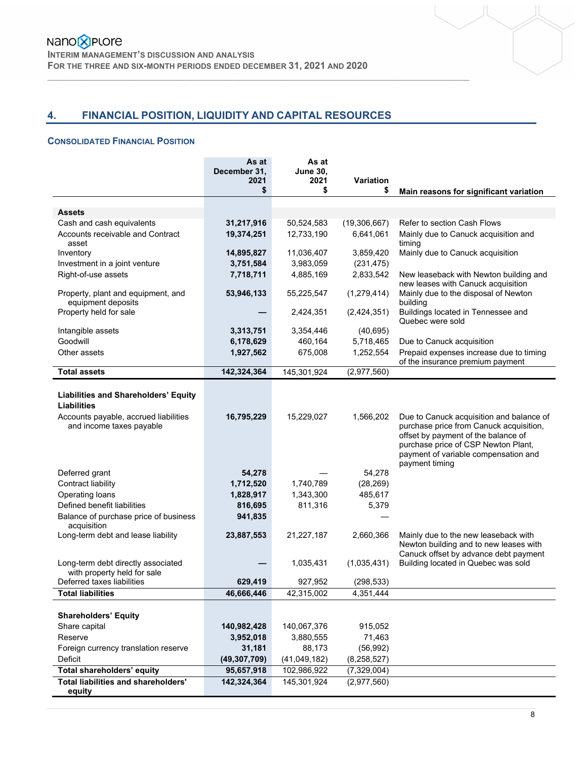# **4. FINANCIAL POSITION, LIQUIDITY AND CAPITAL RESOURCES**

 $\mathcal{L}_\mathcal{L} = \{ \mathcal{L}_\mathcal{L} = \{ \mathcal{L}_\mathcal{L} = \{ \mathcal{L}_\mathcal{L} = \{ \mathcal{L}_\mathcal{L} = \{ \mathcal{L}_\mathcal{L} = \{ \mathcal{L}_\mathcal{L} = \{ \mathcal{L}_\mathcal{L} = \{ \mathcal{L}_\mathcal{L} = \{ \mathcal{L}_\mathcal{L} = \{ \mathcal{L}_\mathcal{L} = \{ \mathcal{L}_\mathcal{L} = \{ \mathcal{L}_\mathcal{L} = \{ \mathcal{L}_\mathcal{L} = \{ \mathcal{L}_\mathcal{$ 

### **CONSOLIDATED FINANCIAL POSITION**

|                                                                   | As at<br>December 31,<br>2021<br>\$ | As at<br><b>June 30.</b><br>2021<br>\$ | Variation<br>\$ | Main reasons for significant variation                                                                                                                                                                                      |
|-------------------------------------------------------------------|-------------------------------------|----------------------------------------|-----------------|-----------------------------------------------------------------------------------------------------------------------------------------------------------------------------------------------------------------------------|
|                                                                   |                                     |                                        |                 |                                                                                                                                                                                                                             |
| <b>Assets</b>                                                     |                                     |                                        |                 |                                                                                                                                                                                                                             |
| Cash and cash equivalents                                         | 31,217,916                          | 50,524,583                             | (19,306,667)    | Refer to section Cash Flows                                                                                                                                                                                                 |
| Accounts receivable and Contract<br>asset                         | 19,374,251                          | 12,733,190                             | 6,641,061       | Mainly due to Canuck acquisition and<br>timing                                                                                                                                                                              |
| Inventory                                                         | 14,895,827                          | 11,036,407                             | 3,859,420       | Mainly due to Canuck acquisition                                                                                                                                                                                            |
| Investment in a joint venture                                     | 3,751,584                           | 3,983,059                              | (231, 475)      |                                                                                                                                                                                                                             |
| Right-of-use assets                                               | 7,718,711                           | 4,885,169                              | 2,833,542       | New leaseback with Newton building and<br>new leases with Canuck acquisition                                                                                                                                                |
| Property, plant and equipment, and<br>equipment deposits          | 53,946,133                          | 55,225,547                             | (1, 279, 414)   | Mainly due to the disposal of Newton<br>building                                                                                                                                                                            |
| Property held for sale                                            |                                     | 2,424,351                              | (2,424,351)     | Buildings located in Tennessee and<br>Quebec were sold                                                                                                                                                                      |
| Intangible assets                                                 | 3,313,751                           | 3,354,446                              | (40, 695)       |                                                                                                                                                                                                                             |
| Goodwill                                                          | 6,178,629                           | 460,164                                | 5,718,465       | Due to Canuck acquisition                                                                                                                                                                                                   |
| Other assets                                                      | 1,927,562                           | 675,008                                | 1,252,554       | Prepaid expenses increase due to timing<br>of the insurance premium payment                                                                                                                                                 |
| <b>Total assets</b>                                               | 142,324,364                         | 145,301,924                            | (2,977,560)     |                                                                                                                                                                                                                             |
| <b>Liabilities and Shareholders' Equity</b><br><b>Liabilities</b> |                                     |                                        |                 |                                                                                                                                                                                                                             |
| Accounts payable, accrued liabilities<br>and income taxes payable | 16,795,229                          | 15,229,027                             | 1,566,202       | Due to Canuck acquisition and balance of<br>purchase price from Canuck acquisition,<br>offset by payment of the balance of<br>purchase price of CSP Newton Plant,<br>payment of variable compensation and<br>payment timing |
| Deferred grant                                                    | 54,278                              |                                        | 54,278          |                                                                                                                                                                                                                             |
| Contract liability                                                | 1,712,520                           | 1,740,789                              | (28, 269)       |                                                                                                                                                                                                                             |
| Operating loans                                                   | 1,828,917                           | 1,343,300                              | 485,617         |                                                                                                                                                                                                                             |
| Defined benefit liabilities                                       | 816,695                             | 811,316                                | 5,379           |                                                                                                                                                                                                                             |
| Balance of purchase price of business<br>acquisition              | 941,835                             |                                        |                 |                                                                                                                                                                                                                             |
| Long-term debt and lease liability                                | 23,887,553                          | 21,227,187                             | 2,660,366       | Mainly due to the new leaseback with<br>Newton building and to new leases with<br>Canuck offset by advance debt payment                                                                                                     |
| Long-term debt directly associated<br>with property held for sale |                                     | 1,035,431                              | (1,035,431)     | Building located in Quebec was sold                                                                                                                                                                                         |
| Deferred taxes liabilities                                        | 629,419                             | 927,952                                | (298, 533)      |                                                                                                                                                                                                                             |
| <b>Total liabilities</b>                                          | 46,666,446                          | 42,315,002                             | 4,351,444       |                                                                                                                                                                                                                             |
|                                                                   |                                     |                                        |                 |                                                                                                                                                                                                                             |
| <b>Shareholders' Equity</b>                                       |                                     |                                        |                 |                                                                                                                                                                                                                             |
| Share capital                                                     | 140,982,428                         | 140,067,376                            | 915,052         |                                                                                                                                                                                                                             |
| Reserve                                                           | 3,952,018                           | 3,880,555                              | 71,463          |                                                                                                                                                                                                                             |
| Foreign currency translation reserve                              | 31,181                              | 88,173                                 | (56, 992)       |                                                                                                                                                                                                                             |
| Deficit                                                           | (49, 307, 709)                      | (41,049,182)                           | (8, 258, 527)   |                                                                                                                                                                                                                             |
| Total shareholders' equity                                        | 95,657,918                          | 102,986,922                            | (7,329,004)     |                                                                                                                                                                                                                             |
| <b>Total liabilities and shareholders'</b><br>equity              | 142,324,364                         | 145,301,924                            | (2,977,560)     |                                                                                                                                                                                                                             |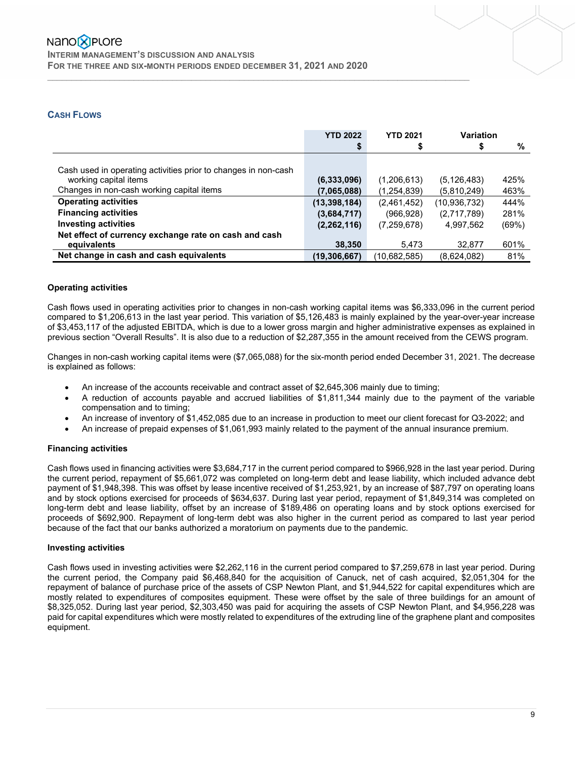### **CASH FLOWS**

|                                                                | <b>YTD 2022</b> | <b>YTD 2021</b> | Variation      |       |
|----------------------------------------------------------------|-----------------|-----------------|----------------|-------|
|                                                                |                 |                 | S              | %     |
|                                                                |                 |                 |                |       |
| Cash used in operating activities prior to changes in non-cash |                 |                 |                |       |
| working capital items                                          | (6,333,096)     | (1,206,613)     | (5, 126, 483)  | 425%  |
| Changes in non-cash working capital items                      | (7,065,088)     | (1,254,839)     | (5,810,249)    | 463%  |
| <b>Operating activities</b>                                    | (13, 398, 184)  | (2,461,452)     | (10, 936, 732) | 444%  |
| <b>Financing activities</b>                                    | (3,684,717)     | (966, 928)      | (2,717,789)    | 281%  |
| <b>Investing activities</b>                                    | (2, 262, 116)   | (7,259,678)     | 4.997.562      | (69%) |
| Net effect of currency exchange rate on cash and cash          |                 |                 |                |       |
| equivalents                                                    | 38,350          | 5,473           | 32,877         | 601%  |
| Net change in cash and cash equivalents                        | (19,306,667)    | (10,682,585)    | (8,624,082)    | 81%   |

 $\mathcal{L}_\mathcal{L} = \{ \mathcal{L}_\mathcal{L} = \{ \mathcal{L}_\mathcal{L} = \{ \mathcal{L}_\mathcal{L} = \{ \mathcal{L}_\mathcal{L} = \{ \mathcal{L}_\mathcal{L} = \{ \mathcal{L}_\mathcal{L} = \{ \mathcal{L}_\mathcal{L} = \{ \mathcal{L}_\mathcal{L} = \{ \mathcal{L}_\mathcal{L} = \{ \mathcal{L}_\mathcal{L} = \{ \mathcal{L}_\mathcal{L} = \{ \mathcal{L}_\mathcal{L} = \{ \mathcal{L}_\mathcal{L} = \{ \mathcal{L}_\mathcal{$ 

### **Operating activities**

Cash flows used in operating activities prior to changes in non-cash working capital items was \$6,333,096 in the current period compared to \$1,206,613 in the last year period. This variation of \$5,126,483 is mainly explained by the year-over-year increase of \$3,453,117 of the adjusted EBITDA, which is due to a lower gross margin and higher administrative expenses as explained in previous section "Overall Results". It is also due to a reduction of \$2,287,355 in the amount received from the CEWS program.

Changes in non-cash working capital items were (\$7,065,088) for the six-month period ended December 31, 2021. The decrease is explained as follows:

- An increase of the accounts receivable and contract asset of \$2,645,306 mainly due to timing;
- A reduction of accounts payable and accrued liabilities of \$1,811,344 mainly due to the payment of the variable compensation and to timing;
- An increase of inventory of \$1,452,085 due to an increase in production to meet our client forecast for Q3-2022; and
- An increase of prepaid expenses of \$1,061,993 mainly related to the payment of the annual insurance premium.

### **Financing activities**

Cash flows used in financing activities were \$3,684,717 in the current period compared to \$966,928 in the last year period. During the current period, repayment of \$5,661,072 was completed on long-term debt and lease liability, which included advance debt payment of \$1,948,398. This was offset by lease incentive received of \$1,253,921, by an increase of \$87,797 on operating loans and by stock options exercised for proceeds of \$634,637. During last year period, repayment of \$1,849,314 was completed on long-term debt and lease liability, offset by an increase of \$189,486 on operating loans and by stock options exercised for proceeds of \$692,900. Repayment of long-term debt was also higher in the current period as compared to last year period because of the fact that our banks authorized a moratorium on payments due to the pandemic.

### **Investing activities**

Cash flows used in investing activities were \$2,262,116 in the current period compared to \$7,259,678 in last year period. During the current period, the Company paid \$6,468,840 for the acquisition of Canuck, net of cash acquired, \$2,051,304 for the repayment of balance of purchase price of the assets of CSP Newton Plant, and \$1,944,522 for capital expenditures which are mostly related to expenditures of composites equipment. These were offset by the sale of three buildings for an amount of \$8,325,052. During last year period, \$2,303,450 was paid for acquiring the assets of CSP Newton Plant, and \$4,956,228 was paid for capital expenditures which were mostly related to expenditures of the extruding line of the graphene plant and composites equipment.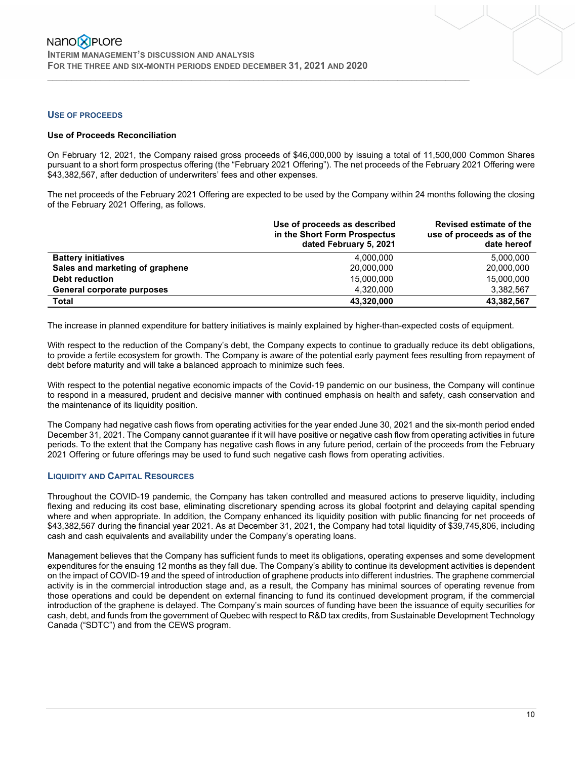### **USE OF PROCEEDS**

### **Use of Proceeds Reconciliation**

On February 12, 2021, the Company raised gross proceeds of \$46,000,000 by issuing a total of 11,500,000 Common Shares pursuant to a short form prospectus offering (the "February 2021 Offering"). The net proceeds of the February 2021 Offering were \$43,382,567, after deduction of underwriters' fees and other expenses.

 $\mathcal{L}_\mathcal{L} = \{ \mathcal{L}_\mathcal{L} = \{ \mathcal{L}_\mathcal{L} = \{ \mathcal{L}_\mathcal{L} = \{ \mathcal{L}_\mathcal{L} = \{ \mathcal{L}_\mathcal{L} = \{ \mathcal{L}_\mathcal{L} = \{ \mathcal{L}_\mathcal{L} = \{ \mathcal{L}_\mathcal{L} = \{ \mathcal{L}_\mathcal{L} = \{ \mathcal{L}_\mathcal{L} = \{ \mathcal{L}_\mathcal{L} = \{ \mathcal{L}_\mathcal{L} = \{ \mathcal{L}_\mathcal{L} = \{ \mathcal{L}_\mathcal{$ 

The net proceeds of the February 2021 Offering are expected to be used by the Company within 24 months following the closing of the February 2021 Offering, as follows.

|                                 | Use of proceeds as described<br>in the Short Form Prospectus<br>dated February 5, 2021 | Revised estimate of the<br>use of proceeds as of the<br>date hereof |
|---------------------------------|----------------------------------------------------------------------------------------|---------------------------------------------------------------------|
| <b>Battery initiatives</b>      | 4.000.000                                                                              | 5.000.000                                                           |
| Sales and marketing of graphene | 20,000,000                                                                             | 20,000,000                                                          |
| <b>Debt reduction</b>           | 15.000.000                                                                             | 15,000,000                                                          |
| General corporate purposes      | 4.320.000                                                                              | 3.382.567                                                           |
| <b>Total</b>                    | 43,320,000                                                                             | 43,382,567                                                          |

The increase in planned expenditure for battery initiatives is mainly explained by higher-than-expected costs of equipment.

With respect to the reduction of the Company's debt, the Company expects to continue to gradually reduce its debt obligations, to provide a fertile ecosystem for growth. The Company is aware of the potential early payment fees resulting from repayment of debt before maturity and will take a balanced approach to minimize such fees.

With respect to the potential negative economic impacts of the Covid-19 pandemic on our business, the Company will continue to respond in a measured, prudent and decisive manner with continued emphasis on health and safety, cash conservation and the maintenance of its liquidity position.

The Company had negative cash flows from operating activities for the year ended June 30, 2021 and the six-month period ended December 31, 2021. The Company cannot guarantee if it will have positive or negative cash flow from operating activities in future periods. To the extent that the Company has negative cash flows in any future period, certain of the proceeds from the February 2021 Offering or future offerings may be used to fund such negative cash flows from operating activities.

### **LIQUIDITY AND CAPITAL RESOURCES**

Throughout the COVID-19 pandemic, the Company has taken controlled and measured actions to preserve liquidity, including flexing and reducing its cost base, eliminating discretionary spending across its global footprint and delaying capital spending where and when appropriate. In addition, the Company enhanced its liquidity position with public financing for net proceeds of \$43,382,567 during the financial year 2021. As at December 31, 2021, the Company had total liquidity of \$39,745,806, including cash and cash equivalents and availability under the Company's operating loans.

Management believes that the Company has sufficient funds to meet its obligations, operating expenses and some development expenditures for the ensuing 12 months as they fall due. The Company's ability to continue its development activities is dependent on the impact of COVID-19 and the speed of introduction of graphene products into different industries. The graphene commercial activity is in the commercial introduction stage and, as a result, the Company has minimal sources of operating revenue from those operations and could be dependent on external financing to fund its continued development program, if the commercial introduction of the graphene is delayed. The Company's main sources of funding have been the issuance of equity securities for cash, debt, and funds from the government of Quebec with respect to R&D tax credits, from Sustainable Development Technology Canada ("SDTC") and from the CEWS program.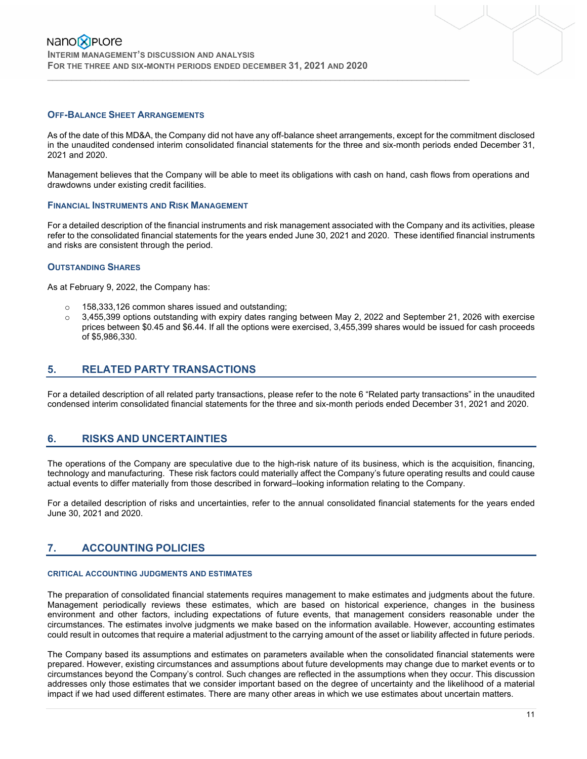### **OFF-BALANCE SHEET ARRANGEMENTS**

As of the date of this MD&A, the Company did not have any off-balance sheet arrangements, except for the commitment disclosed in the unaudited condensed interim consolidated financial statements for the three and six-month periods ended December 31, 2021 and 2020.

 $\mathcal{L}_\mathcal{L} = \{ \mathcal{L}_\mathcal{L} = \{ \mathcal{L}_\mathcal{L} = \{ \mathcal{L}_\mathcal{L} = \{ \mathcal{L}_\mathcal{L} = \{ \mathcal{L}_\mathcal{L} = \{ \mathcal{L}_\mathcal{L} = \{ \mathcal{L}_\mathcal{L} = \{ \mathcal{L}_\mathcal{L} = \{ \mathcal{L}_\mathcal{L} = \{ \mathcal{L}_\mathcal{L} = \{ \mathcal{L}_\mathcal{L} = \{ \mathcal{L}_\mathcal{L} = \{ \mathcal{L}_\mathcal{L} = \{ \mathcal{L}_\mathcal{$ 

Management believes that the Company will be able to meet its obligations with cash on hand, cash flows from operations and drawdowns under existing credit facilities.

### **FINANCIAL INSTRUMENTS AND RISK MANAGEMENT**

For a detailed description of the financial instruments and risk management associated with the Company and its activities, please refer to the consolidated financial statements for the years ended June 30, 2021 and 2020. These identified financial instruments and risks are consistent through the period.

### **OUTSTANDING SHARES**

As at February 9, 2022, the Company has:

- o 158,333,126 common shares issued and outstanding;
- $\circ$  3,455,399 options outstanding with expiry dates ranging between May 2, 2022 and September 21, 2026 with exercise prices between \$0.45 and \$6.44. If all the options were exercised, 3,455,399 shares would be issued for cash proceeds of \$5,986,330.

### **5. RELATED PARTY TRANSACTIONS**

For a detailed description of all related party transactions, please refer to the note 6 "Related party transactions" in the unaudited condensed interim consolidated financial statements for the three and six-month periods ended December 31, 2021 and 2020.

## **6. RISKS AND UNCERTAINTIES**

The operations of the Company are speculative due to the high-risk nature of its business, which is the acquisition, financing, technology and manufacturing. These risk factors could materially affect the Company's future operating results and could cause actual events to differ materially from those described in forward–looking information relating to the Company.

For a detailed description of risks and uncertainties, refer to the annual consolidated financial statements for the years ended June 30, 2021 and 2020.

# **7. ACCOUNTING POLICIES**

#### **CRITICAL ACCOUNTING JUDGMENTS AND ESTIMATES**

The preparation of consolidated financial statements requires management to make estimates and judgments about the future. Management periodically reviews these estimates, which are based on historical experience, changes in the business environment and other factors, including expectations of future events, that management considers reasonable under the circumstances. The estimates involve judgments we make based on the information available. However, accounting estimates could result in outcomes that require a material adjustment to the carrying amount of the asset or liability affected in future periods.

The Company based its assumptions and estimates on parameters available when the consolidated financial statements were prepared. However, existing circumstances and assumptions about future developments may change due to market events or to circumstances beyond the Company's control. Such changes are reflected in the assumptions when they occur. This discussion addresses only those estimates that we consider important based on the degree of uncertainty and the likelihood of a material impact if we had used different estimates. There are many other areas in which we use estimates about uncertain matters.